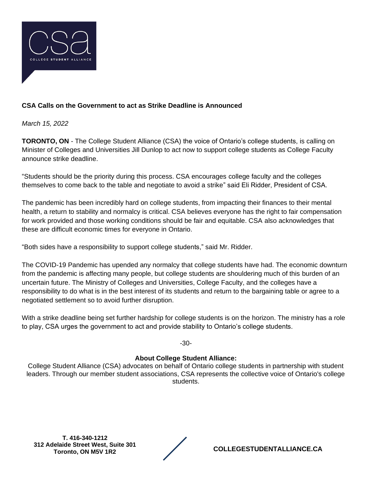

## **CSA Calls on the Government to act as Strike Deadline is Announced**

*March 15, 2022*

**TORONTO, ON** - The College Student Alliance (CSA) the voice of Ontario's college students, is calling on Minister of Colleges and Universities Jill Dunlop to act now to support college students as College Faculty announce strike deadline.

"Students should be the priority during this process. CSA encourages college faculty and the colleges themselves to come back to the table and negotiate to avoid a strike" said Eli Ridder, President of CSA.

The pandemic has been incredibly hard on college students, from impacting their finances to their mental health, a return to stability and normalcy is critical. CSA believes everyone has the right to fair compensation for work provided and those working conditions should be fair and equitable. CSA also acknowledges that these are difficult economic times for everyone in Ontario.

"Both sides have a responsibility to support college students," said Mr. Ridder.

The COVID-19 Pandemic has upended any normalcy that college students have had. The economic downturn from the pandemic is affecting many people, but college students are shouldering much of this burden of an uncertain future. The Ministry of Colleges and Universities, College Faculty, and the colleges have a responsibility to do what is in the best interest of its students and return to the bargaining table or agree to a negotiated settlement so to avoid further disruption.

With a strike deadline being set further hardship for college students is on the horizon. The ministry has a role to play, CSA urges the government to act and provide stability to Ontario's college students.

-30-

## **About College Student Alliance:**

College Student Alliance (CSA) advocates on behalf of Ontario college students in partnership with student leaders. Through our member student associations, CSA represents the collective voice of Ontario's college students.

**T. 416-340-1212 312 Adelaide Street West, Suite 301** 

**Toronto, ON M5V 1R2 COLLEGESTUDENTALLIANCE.CA**